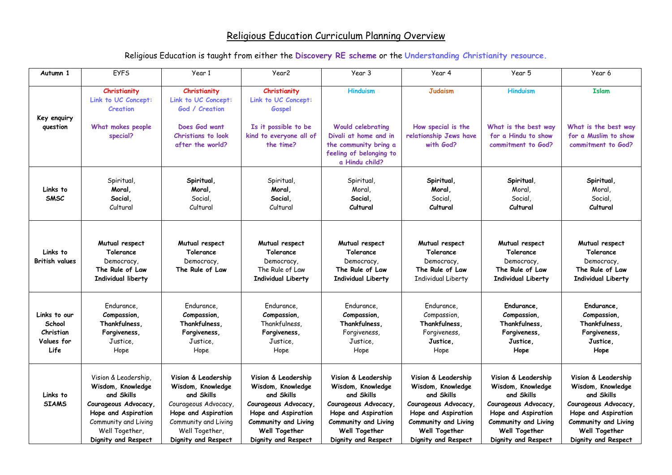## Religious Education Curriculum Planning Overview

Religious Education is taught from either the **Discovery RE scheme** or the **Understanding Christianity resource.**

| Autumn 1                                                  | <b>EYFS</b>                                                                                                                                                             | Year 1                                                                                                                                                                | Year <sub>2</sub>                                                                                                                                                     | Year 3                                                                                                                                                               | Year 4                                                                                                                                                                       | Year 5                                                                                                                                                                | Year 6                                                                                                                                                                |
|-----------------------------------------------------------|-------------------------------------------------------------------------------------------------------------------------------------------------------------------------|-----------------------------------------------------------------------------------------------------------------------------------------------------------------------|-----------------------------------------------------------------------------------------------------------------------------------------------------------------------|----------------------------------------------------------------------------------------------------------------------------------------------------------------------|------------------------------------------------------------------------------------------------------------------------------------------------------------------------------|-----------------------------------------------------------------------------------------------------------------------------------------------------------------------|-----------------------------------------------------------------------------------------------------------------------------------------------------------------------|
| Key enquiry                                               | Christianity<br>Link to UC Concept:<br>Creation                                                                                                                         | Christianity<br>Link to UC Concept:<br>God / Creation                                                                                                                 | Christianity<br>Link to UC Concept:<br>Gospel                                                                                                                         | <b>Hinduism</b>                                                                                                                                                      | <b>Judaism</b>                                                                                                                                                               | <b>Hinduism</b>                                                                                                                                                       | <b>Islam</b>                                                                                                                                                          |
| question                                                  | What makes people<br>special?                                                                                                                                           | Does God want<br>Christians to look<br>after the world?                                                                                                               | Is it possible to be<br>kind to everyone all of<br>the time?                                                                                                          | <b>Would celebrating</b><br>Divali at home and in<br>the community bring a<br>feeling of belonging to<br>a Hindu child?                                              | How special is the<br>relationship Jews have<br>with God?                                                                                                                    | What is the best way<br>for a Hindu to show<br>commitment to God?                                                                                                     | What is the best way<br>for a Muslim to show<br>commitment to God?                                                                                                    |
| Links to<br><b>SMSC</b>                                   | Spiritual,<br>Moral,<br>Social,<br>Cultural                                                                                                                             | Spiritual,<br>Moral,<br>Social,<br>Cultural                                                                                                                           | Spiritual,<br>Moral,<br>Social,<br>Cultural                                                                                                                           | Spiritual,<br>Moral,<br>Social,<br>Cultural                                                                                                                          | Spiritual,<br>Moral,<br>Social,<br>Cultural                                                                                                                                  | Spiritual,<br>Moral,<br>Social,<br>Cultural                                                                                                                           | Spiritual,<br>Moral,<br>Social,<br>Cultural                                                                                                                           |
| Links to<br><b>British values</b>                         | Mutual respect<br>Tolerance<br>Democracy,<br>The Rule of Law<br>Individual liberty                                                                                      | Mutual respect<br>Tolerance<br>Democracy,<br>The Rule of Law                                                                                                          | Mutual respect<br>Tolerance<br>Democracy,<br>The Rule of Law<br><b>Individual Liberty</b>                                                                             | Mutual respect<br>Tolerance<br>Democracy,<br>The Rule of Law<br><b>Individual Liberty</b>                                                                            | Mutual respect<br>Tolerance<br>Democracy,<br>The Rule of Law<br>Individual Liberty                                                                                           | Mutual respect<br>Tolerance<br>Democracy,<br>The Rule of Law<br>Individual Liberty                                                                                    | Mutual respect<br>Tolerance<br>Democracy,<br>The Rule of Law<br>Individual Liberty                                                                                    |
| Links to our<br>School<br>Christian<br>Values for<br>Life | Endurance,<br>Compassion,<br>Thankfulness,<br>Forgiveness,<br>Justice,<br>Hope                                                                                          | Endurance,<br>Compassion,<br>Thankfulness.<br>Forgiveness,<br>Justice,<br>Hope                                                                                        | Endurance,<br>Compassion,<br>Thankfulness,<br>Forgiveness,<br>Justice,<br>Hope                                                                                        | Endurance,<br>Compassion,<br>Thankfulness,<br>Forgiveness,<br>Justice,<br>Hope                                                                                       | Endurance,<br>Compassion,<br>Thankfulness,<br>Forgiveness,<br>Justice,<br>Hope                                                                                               | Endurance,<br>Compassion.<br>Thankfulness,<br>Forgiveness,<br>Justice,<br>Hope                                                                                        | Endurance,<br>Compassion,<br>Thankfulness,<br>Forgiveness,<br>Justice,<br>Hope                                                                                        |
| Links to<br><b>SIAMS</b>                                  | Vision & Leadership,<br>Wisdom, Knowledge<br>and Skills<br>Courageous Advocacy,<br>Hope and Aspiration<br>Community and Living<br>Well Together,<br>Dignity and Respect | Vision & Leadership<br>Wisdom, Knowledge<br>and Skills<br>Courageous Advocacy<br>Hope and Aspiration<br>Community and Living<br>Well Together,<br>Dignity and Respect | Vision & Leadership<br>Wisdom, Knowledge<br>and Skills<br>Courageous Advocacy,<br>Hope and Aspiration<br>Community and Living<br>Well Together<br>Dignity and Respect | Vision & Leadership<br>Wisdom, Knowledge<br>and Skills<br>Courageous Advocacy<br>Hope and Aspiration<br>Community and Living<br>Well Together<br>Dignity and Respect | Vision & Leadership<br>Wisdom, Knowledge<br>and Skills<br>Courageous Advocacy,<br>Hope and Aspiration<br><b>Community and Living</b><br>Well Together<br>Dignity and Respect | Vision & Leadership<br>Wisdom, Knowledge<br>and Skills<br>Courageous Advocacy,<br>Hope and Aspiration<br>Community and Living<br>Well Together<br>Dignity and Respect | Vision & Leadership<br>Wisdom, Knowledge<br>and Skills<br>Courageous Advocacy,<br>Hope and Aspiration<br>Community and Living<br>Well Together<br>Dignity and Respect |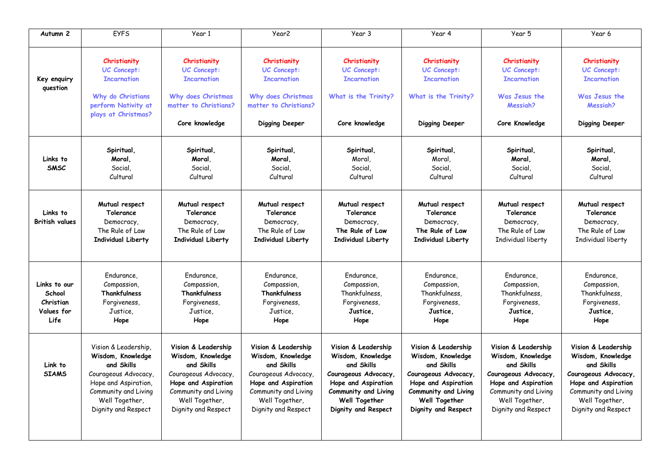| Autumn 2                                                  | <b>EYFS</b>                                                                                                                                                              | Year 1                                                                                                                                                                 | Year <sub>2</sub>                                                                                                                                                      | Year 3                                                                                                                                                                | Year 4                                                                                                                                                                | Year 5                                                                                                                                                                 | Year 6                                                                                                                                                                 |
|-----------------------------------------------------------|--------------------------------------------------------------------------------------------------------------------------------------------------------------------------|------------------------------------------------------------------------------------------------------------------------------------------------------------------------|------------------------------------------------------------------------------------------------------------------------------------------------------------------------|-----------------------------------------------------------------------------------------------------------------------------------------------------------------------|-----------------------------------------------------------------------------------------------------------------------------------------------------------------------|------------------------------------------------------------------------------------------------------------------------------------------------------------------------|------------------------------------------------------------------------------------------------------------------------------------------------------------------------|
| Key enquiry<br>question                                   | Christianity<br>UC Concept:<br><b>Incarnation</b><br>Why do Christians<br>perform Nativity at<br>plays at Christmas?                                                     | Christianity<br>UC Concept:<br><b>Incarnation</b><br>Why does Christmas<br>matter to Christians?<br>Core knowledge                                                     | Christianity<br>UC Concept:<br><b>Incarnation</b><br>Why does Christmas<br>matter to Christians?<br>Digging Deeper                                                     | Christianity<br>UC Concept:<br><b>Incarnation</b><br>What is the Trinity?<br>Core knowledge                                                                           | Christianity<br>UC Concept:<br><b>Incarnation</b><br>What is the Trinity?<br>Digging Deeper                                                                           | Christianity<br>UC Concept:<br><b>Incarnation</b><br>Was Jesus the<br>Messiah?<br>Core Knowledge                                                                       | Christianity<br><b>UC Concept:</b><br><b>Incarnation</b><br>Was Jesus the<br>Messiah?<br>Digging Deeper                                                                |
| Links to<br><b>SMSC</b>                                   | Spiritual,<br>Moral,<br>Social,<br>Cultural                                                                                                                              | Spiritual,<br>Moral,<br>Social.<br>Cultural                                                                                                                            | Spiritual,<br>Moral,<br>Social.<br>Cultural                                                                                                                            | Spiritual<br>Moral,<br>Social.<br>Cultural                                                                                                                            | Spiritual,<br>Moral,<br>Social.<br>Cultural                                                                                                                           | Spiritual,<br>Moral,<br>Social.<br>Cultural                                                                                                                            | Spiritual,<br>Moral,<br>Social.<br>Cultural                                                                                                                            |
| Links to<br><b>British values</b>                         | Mutual respect<br>Tolerance<br>Democracy,<br>The Rule of Law<br><b>Individual Liberty</b>                                                                                | Mutual respect<br>Tolerance<br>Democracy,<br>The Rule of Law<br><b>Individual Liberty</b>                                                                              | Mutual respect<br>Tolerance<br>Democracy,<br>The Rule of Law<br><b>Individual Liberty</b>                                                                              | Mutual respect<br>Tolerance<br>Democracy,<br>The Rule of Law<br><b>Individual Liberty</b>                                                                             | Mutual respect<br>Tolerance<br>Democracy,<br>The Rule of Law<br><b>Individual Liberty</b>                                                                             | Mutual respect<br>Tolerance<br>Democracy,<br>The Rule of Law<br>Individual liberty                                                                                     | Mutual respect<br>Tolerance<br>Democracy,<br>The Rule of Law<br>Individual liberty                                                                                     |
| Links to our<br>School<br>Christian<br>Values for<br>Life | Endurance,<br>Compassion,<br>Thankfulness<br>Forgiveness,<br>Justice.<br>Hope                                                                                            | Endurance,<br>Compassion,<br>Thankfulness<br>Forgiveness,<br>Justice,<br>Hope                                                                                          | Endurance,<br>Compassion,<br>Thankfulness<br>Forgiveness,<br>Justice,<br>Hope                                                                                          | Endurance,<br>Compassion,<br>Thankfulness.<br>Forgiveness,<br>Justice.<br>Hope                                                                                        | Endurance,<br>Compassion,<br>Thankfulness,<br>Forgiveness,<br>Justice.<br>Hope                                                                                        | Endurance,<br>Compassion,<br>Thankfulness,<br>Forgiveness,<br>Justice.<br>Hope                                                                                         | Endurance,<br>Compassion,<br>Thankfulness,<br>Forgiveness,<br>Justice.<br>Hope                                                                                         |
| Link to<br><b>STAMS</b>                                   | Vision & Leadership,<br>Wisdom, Knowledge<br>and Skills<br>Courageous Advocacy,<br>Hope and Aspiration,<br>Community and Living<br>Well Together,<br>Dignity and Respect | Vision & Leadership<br>Wisdom, Knowledge<br>and Skills<br>Courageous Advocacy,<br>Hope and Aspiration<br>Community and Living<br>Well Together,<br>Dignity and Respect | Vision & Leadership<br>Wisdom, Knowledge<br>and Skills<br>Courageous Advocacy,<br>Hope and Aspiration<br>Community and Living<br>Well Together,<br>Dignity and Respect | Vision & Leadership<br>Wisdom, Knowledge<br>and Skills<br>Courageous Advocacy,<br>Hope and Aspiration<br>Community and Living<br>Well Together<br>Dignity and Respect | Vision & Leadership<br>Wisdom, Knowledge<br>and Skills<br>Courageous Advocacy,<br>Hope and Aspiration<br>Community and Living<br>Well Together<br>Dignity and Respect | Vision & Leadership<br>Wisdom, Knowledge<br>and Skills<br>Courageous Advocacy,<br>Hope and Aspiration<br>Community and Living<br>Well Together,<br>Dignity and Respect | Vision & Leadership<br>Wisdom, Knowledge<br>and Skills<br>Courageous Advocacy,<br>Hope and Aspiration<br>Community and Living<br>Well Together,<br>Dignity and Respect |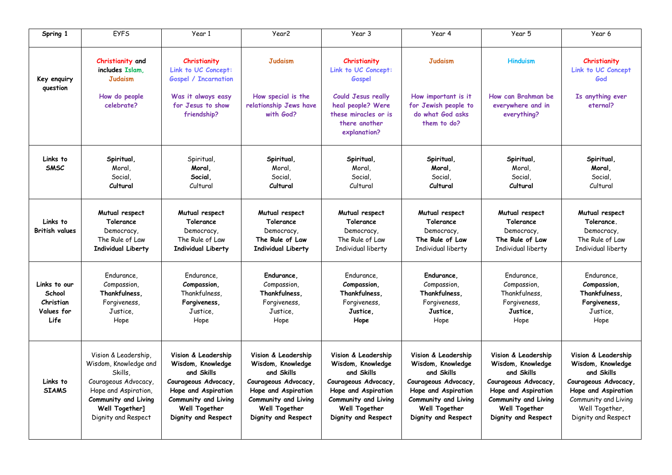| Spring 1                                                  | <b>EYFS</b>                                                                                                                                                               | Year 1                                                                                                                                                                | Year <sub>2</sub>                                                                                                                                                    | Year 3                                                                                                                                                                | Year 4                                                                                                                                                                | Year 5                                                                                                                                                                       | Year 6                                                                                                                                                                 |
|-----------------------------------------------------------|---------------------------------------------------------------------------------------------------------------------------------------------------------------------------|-----------------------------------------------------------------------------------------------------------------------------------------------------------------------|----------------------------------------------------------------------------------------------------------------------------------------------------------------------|-----------------------------------------------------------------------------------------------------------------------------------------------------------------------|-----------------------------------------------------------------------------------------------------------------------------------------------------------------------|------------------------------------------------------------------------------------------------------------------------------------------------------------------------------|------------------------------------------------------------------------------------------------------------------------------------------------------------------------|
| Key enguiry<br>question                                   | Christianity and<br>includes Islam.<br><b>Judaism</b>                                                                                                                     | Christianity<br>Link to UC Concept:<br><b>Gospel / Incarnation</b>                                                                                                    | <b>Judaism</b>                                                                                                                                                       | Christianity<br>Link to UC Concept:<br>Gospel                                                                                                                         | <b>Judaism</b>                                                                                                                                                        | <b>Hinduism</b>                                                                                                                                                              | Christianity<br>Link to UC Concept<br>God                                                                                                                              |
|                                                           | How do people<br>celebrate?                                                                                                                                               | Was it always easy<br>for Jesus to show<br>friendship?                                                                                                                | How special is the<br>relationship Jews have<br>with God?                                                                                                            | <b>Could Jesus really</b><br>heal people? Were<br>these miracles or is<br>there another<br>explanation?                                                               | How important is it<br>for Jewish people to<br>do what God asks<br>them to do?                                                                                        | How can Brahman be<br>everywhere and in<br>everything?                                                                                                                       | Is anything ever<br>eternal?                                                                                                                                           |
| Links to<br><b>SMSC</b>                                   | Spiritual,<br>Moral,<br>Social,<br>Cultural                                                                                                                               | Spiritual,<br>Moral.<br>Social.<br>Cultural                                                                                                                           | Spiritual,<br>Moral,<br>Social.<br>Cultural                                                                                                                          | Spiritual,<br>Moral,<br>Social,<br>Cultural                                                                                                                           | Spiritual,<br>Moral.<br>Social,<br>Cultural                                                                                                                           | Spiritual,<br>Moral,<br>Social,<br>Cultural                                                                                                                                  | Spiritual,<br>Moral.<br>Social,<br>Cultural                                                                                                                            |
| Links to<br><b>British values</b>                         | Mutual respect<br>Tolerance<br>Democracy,<br>The Rule of Law<br>Individual Liberty                                                                                        | Mutual respect<br>Tolerance<br>Democracy,<br>The Rule of Law<br><b>Individual Liberty</b>                                                                             | Mutual respect<br>Tolerance<br>Democracy,<br>The Rule of Law<br><b>Individual Liberty</b>                                                                            | Mutual respect<br>Tolerance<br>Democracy,<br>The Rule of Law<br>Individual liberty                                                                                    | Mutual respect<br>Tolerance<br>Democracy,<br>The Rule of Law<br>Individual liberty                                                                                    | Mutual respect<br>Tolerance<br>Democracy,<br>The Rule of Law<br>Individual liberty                                                                                           | Mutual respect<br>Tolerance.<br>Democracy,<br>The Rule of Law<br>Individual liberty                                                                                    |
| Links to our<br>School<br>Christian<br>Values for<br>Life | Endurance.<br>Compassion,<br>Thankfulness.<br>Forgiveness,<br>Justice,<br>Hope                                                                                            | Endurance.<br>Compassion.<br>Thankfulness,<br>Forgiveness,<br>Justice,<br>Hope                                                                                        | Endurance,<br>Compassion,<br>Thankfulness,<br>Forgiveness,<br>Justice,<br>Hope                                                                                       | Endurance.<br>Compassion,<br>Thankfulness,<br>Forgiveness,<br>Justice,<br>Hope                                                                                        | Endurance.<br>Compassion,<br>Thankfulness,<br>Forgiveness,<br>Justice,<br>Hope                                                                                        | Endurance.<br>Compassion,<br>Thankfulness.<br>Forgiveness,<br>Justice,<br>Hope                                                                                               | Endurance,<br>Compassion,<br>Thankfulness.<br>Forgiveness,<br>Justice,<br>Hope                                                                                         |
| Links to<br><b>SIAMS</b>                                  | Vision & Leadership,<br>Wisdom, Knowledge and<br>Skills,<br>Courageous Advocacy,<br>Hope and Aspiration,<br>Community and Living<br>Well Together]<br>Dignity and Respect | Vision & Leadership<br>Wisdom, Knowledge<br>and Skills<br>Courageous Advocacy.<br>Hope and Aspiration<br>Community and Living<br>Well Together<br>Dignity and Respect | Vision & Leadership<br>Wisdom, Knowledge<br>and Skills<br>Courageous Advocacy<br>Hope and Aspiration<br>Community and Living<br>Well Together<br>Dignity and Respect | Vision & Leadership<br>Wisdom, Knowledge<br>and Skills<br>Courageous Advocacy,<br>Hope and Aspiration<br>Community and Living<br>Well Together<br>Dignity and Respect | Vision & Leadership<br>Wisdom, Knowledge<br>and Skills<br>Courageous Advocacy,<br>Hope and Aspiration<br>Community and Living<br>Well Together<br>Dignity and Respect | Vision & Leadership<br>Wisdom, Knowledge<br>and Skills<br>Courageous Advocacy.<br>Hope and Aspiration<br>Community and Living<br><b>Well Together</b><br>Dignity and Respect | Vision & Leadership<br>Wisdom, Knowledge<br>and Skills<br>Courageous Advocacy.<br>Hope and Aspiration<br>Community and Living<br>Well Together,<br>Dignity and Respect |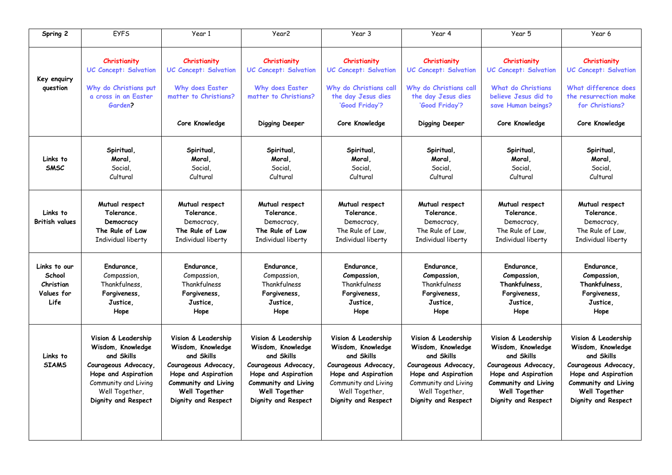| Spring 2                                                  | <b>EYFS</b>                                                                                                                                                            | Year 1                                                                                                                                                               | Year <sub>2</sub>                                                                                                                                                     | Year 3                                                                                                                                                                | Year 4                                                                                                                                                                 | Year 5                                                                                                                                                               | Year 6                                                                                                                                                                |
|-----------------------------------------------------------|------------------------------------------------------------------------------------------------------------------------------------------------------------------------|----------------------------------------------------------------------------------------------------------------------------------------------------------------------|-----------------------------------------------------------------------------------------------------------------------------------------------------------------------|-----------------------------------------------------------------------------------------------------------------------------------------------------------------------|------------------------------------------------------------------------------------------------------------------------------------------------------------------------|----------------------------------------------------------------------------------------------------------------------------------------------------------------------|-----------------------------------------------------------------------------------------------------------------------------------------------------------------------|
| Key enquiry<br>question                                   | Christianity<br><b>UC Concept: Salvation</b><br>Why do Christians put<br>a cross in an Easter<br>Garden?                                                               | Christianity<br><b>UC Concept: Salvation</b><br>Why does Easter<br>matter to Christians?                                                                             | Christianity<br><b>UC Concept: Salvation</b><br>Why does Easter<br>matter to Christians?                                                                              | Christianity<br><b>UC Concept: Salvation</b><br>Why do Christians call<br>the day Jesus dies<br>'Good Friday'?                                                        | Christianity<br><b>UC Concept: Salvation</b><br>Why do Christians call<br>the day Jesus dies<br>'Good Friday'?                                                         | Christianity<br><b>UC Concept: Salvation</b><br><b>What do Christians</b><br>believe Jesus did to<br>save Human beings?                                              | Christianity<br><b>UC Concept: Salvation</b><br>What difference does<br>the resurrection make<br>for Christians?                                                      |
|                                                           |                                                                                                                                                                        | Core Knowledge                                                                                                                                                       | Digging Deeper                                                                                                                                                        | Core Knowledge                                                                                                                                                        | Digging Deeper                                                                                                                                                         | Core Knowledge                                                                                                                                                       | Core Knowledge                                                                                                                                                        |
| Links to<br><b>SMSC</b>                                   | Spiritual,<br>Moral,<br>Social,<br>Cultural                                                                                                                            | Spiritual,<br>Moral,<br>Social,<br>Cultural                                                                                                                          | Spiritual,<br>Moral.<br>Social,<br>Cultural                                                                                                                           | Spiritual,<br>Moral.<br>Social,<br>Cultural                                                                                                                           | Spiritual,<br>Moral.<br>Social,<br>Cultural                                                                                                                            | Spiritual,<br>Moral,<br>Social,<br>Cultural                                                                                                                          | Spiritual,<br>Moral.<br>Social,<br>Cultural                                                                                                                           |
| Links to<br><b>British values</b>                         | Mutual respect<br>Tolerance.<br>Democracy<br>The Rule of Law<br>Individual liberty                                                                                     | Mutual respect<br>Tolerance.<br>Democracy,<br>The Rule of Law<br>Individual liberty                                                                                  | Mutual respect<br>Tolerance.<br>Democracy,<br>The Rule of Law<br>Individual liberty                                                                                   | Mutual respect<br>Tolerance.<br>Democracy,<br>The Rule of Law,<br>Individual liberty                                                                                  | Mutual respect<br>Tolerance.<br>Democracy,<br>The Rule of Law.<br>Individual liberty                                                                                   | Mutual respect<br>Tolerance.<br>Democracy,<br>The Rule of Law.<br>Individual liberty                                                                                 | Mutual respect<br>Tolerance.<br>Democracy,<br>The Rule of Law,<br>Individual liberty                                                                                  |
| Links to our<br>School<br>Christian<br>Values for<br>Life | Endurance.<br>Compassion,<br>Thankfulness.<br>Forgiveness,<br>Justice.<br>Hope                                                                                         | Endurance.<br>Compassion,<br>Thankfulness<br>Forgiveness,<br>Justice,<br>Hope                                                                                        | Endurance.<br>Compassion,<br>Thankfulness<br>Forgiveness,<br>Justice.<br>Hope                                                                                         | Endurance,<br>Compassion,<br>Thankfulness<br>Forgiveness,<br>Justice,<br>Hope                                                                                         | Endurance,<br>Compassion,<br>Thankfulness<br>Forgiveness,<br>Justice.<br>Hope                                                                                          | Endurance.<br>Compassion,<br>Thankfulness.<br>Forgiveness,<br>Justice.<br>Hope                                                                                       | Endurance,<br>Compassion,<br>Thankfulness,<br>Forgiveness,<br>Justice.<br>Hope                                                                                        |
| Links to<br><b>SIAMS</b>                                  | Vision & Leadership<br>Wisdom, Knowledge<br>and Skills<br>Courageous Advocacy,<br>Hope and Aspiration<br>Community and Living<br>Well Together,<br>Dignity and Respect | Vision & Leadership<br>Wisdom, Knowledge<br>and Skills<br>Courageous Advocacy<br>Hope and Aspiration<br>Community and Living<br>Well Together<br>Dignity and Respect | Vision & Leadership<br>Wisdom, Knowledge<br>and Skills<br>Courageous Advocacy,<br>Hope and Aspiration<br>Community and Living<br>Well Together<br>Dignity and Respect | Vision & Leadership<br>Wisdom, Knowledge<br>and Skills<br>Courageous Advocacy<br>Hope and Aspiration<br>Community and Living<br>Well Together,<br>Dignity and Respect | Vision & Leadership<br>Wisdom, Knowledge<br>and Skills<br>Courageous Advocacy,<br>Hope and Aspiration<br>Community and Living<br>Well Together,<br>Dignity and Respect | Vision & Leadership<br>Wisdom, Knowledge<br>and Skills<br>Courageous Advocacy<br>Hope and Aspiration<br>Community and Living<br>Well Together<br>Dignity and Respect | Vision & Leadership<br>Wisdom, Knowledge<br>and Skills<br>Courageous Advocacy,<br>Hope and Aspiration<br>Community and Living<br>Well Together<br>Dignity and Respect |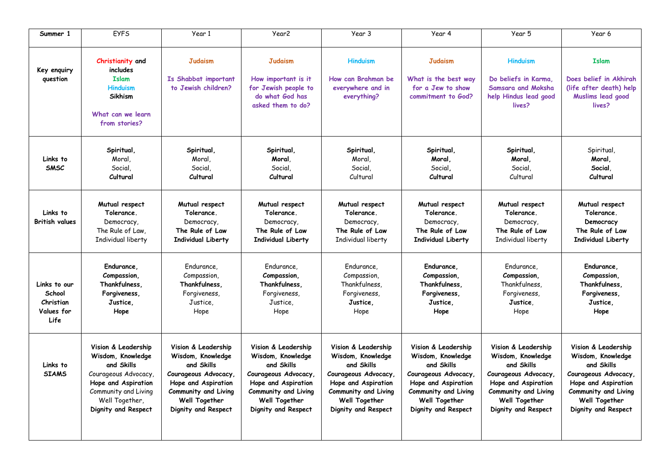| Summer 1                                                  | <b>EYFS</b>                                                                                                                                                            | Year 1                                                                                                                                                                | Year <sub>2</sub>                                                                                                                                                    | Year 3                                                                                                                                                                | Year 4                                                                                                                                                                | Year 5                                                                                                                                                               | Year 6                                                                                                                                                                |
|-----------------------------------------------------------|------------------------------------------------------------------------------------------------------------------------------------------------------------------------|-----------------------------------------------------------------------------------------------------------------------------------------------------------------------|----------------------------------------------------------------------------------------------------------------------------------------------------------------------|-----------------------------------------------------------------------------------------------------------------------------------------------------------------------|-----------------------------------------------------------------------------------------------------------------------------------------------------------------------|----------------------------------------------------------------------------------------------------------------------------------------------------------------------|-----------------------------------------------------------------------------------------------------------------------------------------------------------------------|
| Key enquiry<br>question                                   | Christianity and<br>includes<br><b>Islam</b><br><b>Hinduism</b><br><b>Sikhism</b><br>What can we learn<br>from stories?                                                | <b>Judaism</b><br>Is Shabbat important<br>to Jewish children?                                                                                                         | <b>Judaism</b><br>How important is it<br>for Jewish people to<br>do what God has<br>asked them to do?                                                                | <b>Hinduism</b><br>How can Brahman be<br>everywhere and in<br>everything?                                                                                             | <b>Judaism</b><br>What is the best way<br>for a Jew to show<br>commitment to God?                                                                                     | <b>Hinduism</b><br>Do beliefs in Karma.<br>Samsara and Moksha<br>help Hindus lead good<br>lives?                                                                     | <b>Islam</b><br>Does belief in Akhirah<br>(life after death) help<br>Muslims lead good<br>lives?                                                                      |
| Links to<br><b>SMSC</b>                                   | Spiritual.<br>Moral,<br>Social,<br>Cultural                                                                                                                            | Spiritual<br>Moral,<br>Social,<br>Cultural                                                                                                                            | Spiritual.<br>Moral.<br>Social,<br>Cultural                                                                                                                          | Spiritual<br>Moral.<br>Social,<br>Cultural                                                                                                                            | Spiritual.<br>Moral.<br>Social.<br>Cultural                                                                                                                           | Spiritual.<br>Moral.<br>Social,<br>Cultural                                                                                                                          | Spiritual,<br>Moral.<br>Social.<br>Cultural                                                                                                                           |
| Links to<br><b>British values</b>                         | Mutual respect<br>Tolerance.<br>Democracy,<br>The Rule of Law,<br>Individual liberty                                                                                   | Mutual respect<br>Tolerance.<br>Democracy,<br>The Rule of Law<br>Individual Liberty                                                                                   | Mutual respect<br>Tolerance.<br>Democracy,<br>The Rule of Law<br>Individual Liberty                                                                                  | Mutual respect<br>Tolerance.<br>Democracy,<br>The Rule of Law<br>Individual liberty                                                                                   | Mutual respect<br>Tolerance.<br>Democracy,<br>The Rule of Law<br><b>Individual Liberty</b>                                                                            | Mutual respect<br>Tolerance.<br>Democracy,<br>The Rule of Law<br>Individual liberty                                                                                  | Mutual respect<br>Tolerance.<br>Democracy<br>The Rule of Law<br><b>Individual Liberty</b>                                                                             |
| Links to our<br>School<br>Christian<br>Values for<br>Life | Endurance,<br>Compassion,<br>Thankfulness.<br>Forgiveness.<br>Justice.<br>Hope                                                                                         | Endurance,<br>Compassion,<br>Thankfulness.<br>Forgiveness,<br>Justice,<br>Hope                                                                                        | Endurance,<br>Compassion,<br>Thankfulness,<br>Forgiveness,<br>Justice,<br>Hope                                                                                       | Endurance,<br>Compassion,<br>Thankfulness,<br>Forgiveness,<br>Justice,<br>Hope                                                                                        | Endurance,<br>Compassion,<br>Thankfulness,<br>Forgiveness.<br>Justice,<br>Hope                                                                                        | Endurance.<br>Compassion,<br>Thankfulness,<br>Forgiveness,<br>Justice.<br>Hope                                                                                       | Endurance,<br>Compassion,<br>Thankfulness.<br>Forgiveness.<br>Justice.<br>Hope                                                                                        |
| Links to<br><b>SIAMS</b>                                  | Vision & Leadership<br>Wisdom, Knowledge<br>and Skills<br>Courageous Advocacy,<br>Hope and Aspiration<br>Community and Living<br>Well Together,<br>Dignity and Respect | Vision & Leadership<br>Wisdom, Knowledge<br>and Skills<br>Courageous Advocacy,<br>Hope and Aspiration<br>Community and Living<br>Well Together<br>Dignity and Respect | Vision & Leadership<br>Wisdom, Knowledge<br>and Skills<br>Courageous Advocacy<br>Hope and Aspiration<br>Community and Living<br>Well Together<br>Dignity and Respect | Vision & Leadership<br>Wisdom, Knowledge<br>and Skills<br>Courageous Advocacy,<br>Hope and Aspiration<br>Community and Living<br>Well Together<br>Dignity and Respect | Vision & Leadership<br>Wisdom, Knowledge<br>and Skills<br>Courageous Advocacy,<br>Hope and Aspiration<br>Community and Living<br>Well Together<br>Dignity and Respect | Vision & Leadership<br>Wisdom, Knowledge<br>and Skills<br>Courageous Advocacy<br>Hope and Aspiration<br>Community and Living<br>Well Together<br>Dignity and Respect | Vision & Leadership<br>Wisdom, Knowledge<br>and Skills<br>Courageous Advocacy,<br>Hope and Aspiration<br>Community and Living<br>Well Together<br>Dignity and Respect |